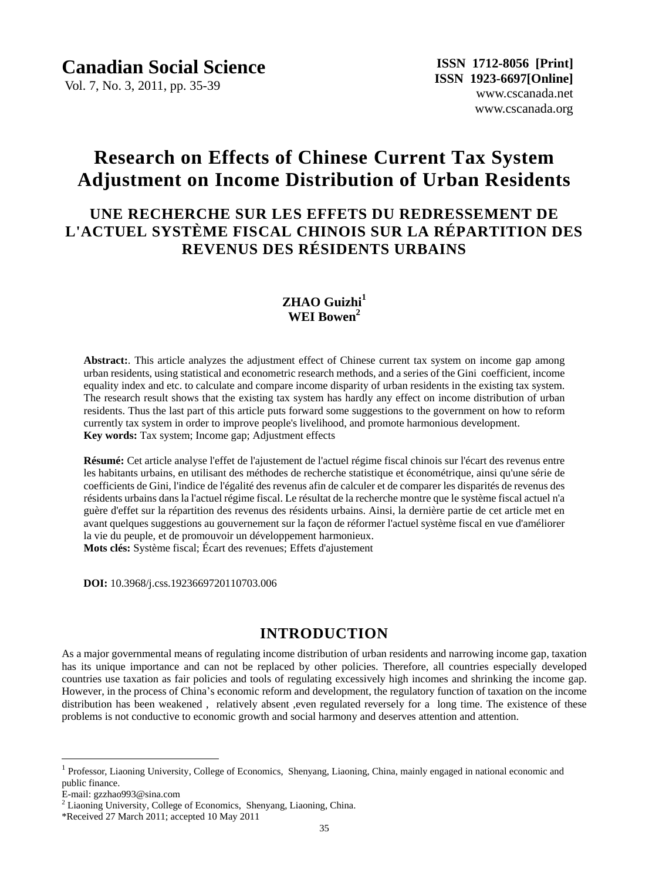Vol. 7, No. 3, 2011, pp. 35-39

# **Research on Effects of Chinese Current Tax System Adjustment on Income Distribution of Urban Residents**

## **UNE RECHERCHE SUR LES EFFETS DU REDRESSEMENT DE L'ACTUEL SYSTÈME FISCAL CHINOIS SUR LA RÉPARTITION DES REVENUS DES RÉSIDENTS URBAINS**

## **ZHAO Guizhi<sup>1</sup> WEI Bowen<sup>2</sup>**

**Abstract:**. This article analyzes the adjustment effect of Chinese current tax system on income gap among urban residents, using statistical and econometric research methods, and a series of the Gini coefficient, income equality index and etc. to calculate and compare income disparity of urban residents in the existing tax system. The research result shows that the existing tax system has hardly any effect on income distribution of urban residents. Thus the last part of this article puts forward some suggestions to the government on how to reform currently tax system in order to improve people's livelihood, and promote harmonious development. **Key words:** Tax system; Income gap; Adjustment effects

**Résumé:** Cet article analyse l'effet de l'ajustement de l'actuel régime fiscal chinois sur l'écart des revenus entre les habitants urbains, en utilisant des méthodes de recherche statistique et économétrique, ainsi qu'une série de coefficients de Gini, l'indice de l'égalité des revenus afin de calculer et de comparer les disparités de revenus des résidents urbains dans la l'actuel régime fiscal. Le résultat de la recherche montre que le système fiscal actuel n'a guère d'effet sur la répartition des revenus des résidents urbains. Ainsi, la dernière partie de cet article met en avant quelques suggestions au gouvernement sur la façon de réformer l'actuel système fiscal en vue d'améliorer la vie du peuple, et de promouvoir un développement harmonieux. **Mots clés:** Système fiscal; Écart des revenues; Effets d'ajustement

**DOI:** 10.3968/j.css.1923669720110703.006

## **INTRODUCTION**

As a major governmental means of regulating income distribution of urban residents and narrowing income gap, taxation has its unique importance and can not be replaced by other policies. Therefore, all countries especially developed countries use taxation as fair policies and tools of regulating excessively high incomes and shrinking the income gap. However, in the process of China's economic reform and development, the regulatory function of taxation on the income distribution has been weakened , relatively absent ,even regulated reversely for a long time. The existence of these problems is not conductive to economic growth and social harmony and deserves attention and attention.

 $\overline{a}$ 

<sup>1</sup> Professor, Liaoning University, College of Economics, Shenyang, Liaoning, China, mainly engaged in national economic and public finance.

E-mail: gzzhao993@sina.com

<sup>&</sup>lt;sup>2</sup> Liaoning University, College of Economics, Shenyang, Liaoning, China.

<sup>\*</sup>Received 27 March 2011; accepted 10 May 2011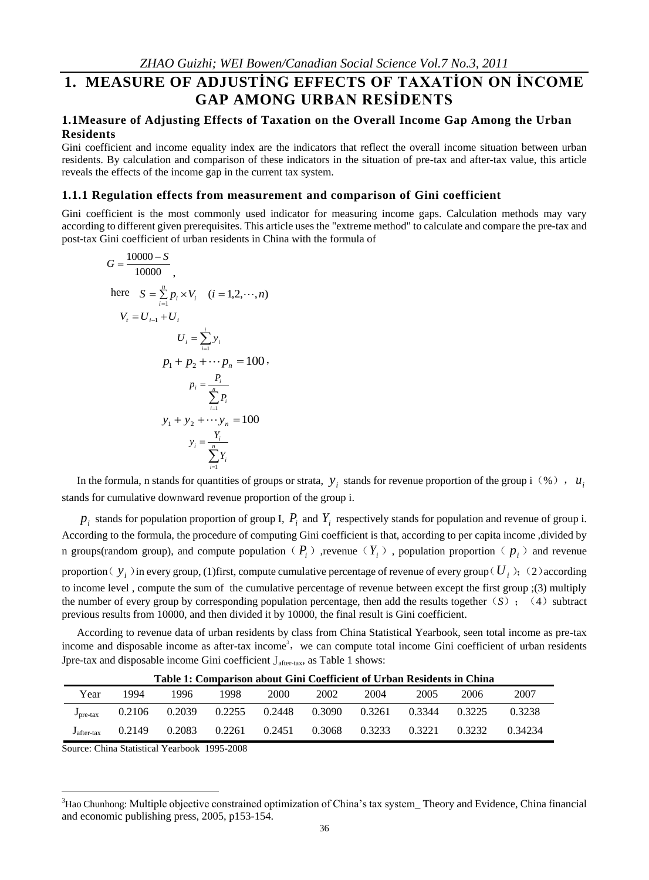## **1. MEASURE OF ADJUSTİNG EFFECTS OF TAXATİON ON İNCOME GAP AMONG URBAN RESİDENTS**

#### **1.1Measure of Adjusting Effects of Taxation on the Overall Income Gap Among the Urban Residents**

Gini coefficient and income equality index are the indicators that reflect the overall income situation between urban residents. By calculation and comparison of these indicators in the situation of pre-tax and after-tax value, this article reveals the effects of the income gap in the current tax system.

#### **1.1.1 Regulation effects from measurement and comparison of Gini coefficient**

Gini coefficient is the most commonly used indicator for measuring income gaps. Calculation methods may vary according to different given prerequisites. This article uses the "extreme method" to calculate and compare the pre-tax and post-tax Gini coefficient of urban residents in China with the formula of

$$
G = \frac{10000 - S}{10000},
$$
  
here  $S = \sum_{i=1}^{n} p_i \times V_i$   $(i = 1, 2, \dots, n)$   
 $V_t = U_{i-1} + U_i$   
 $U_i = \sum_{i=1}^{i} y_i$   
 $p_1 + p_2 + \dots + p_n = 100$ ,  
 $p_i = \frac{P_i}{\sum_{i=1}^{n} P_i}$   
 $y_1 + y_2 + \dots + y_n = 100$   
 $y_i = \frac{Y_i}{\sum_{i=1}^{n} Y_i}$ 

In the formula, n stands for quantities of groups or strata,  $y_i$  stands for revenue proportion of the group i (%),  $u_i$ stands for cumulative downward revenue proportion of the group i.

 $p_i$  stands for population proportion of group I,  $P_i$  and  $Y_i$  respectively stands for population and revenue of group i. According to the formula, the procedure of computing Gini coefficient is that, according to per capita income ,divided by n groups(random group), and compute population ( $P_i$ ), revenue ( $Y_i$ ), population proportion ( $p_i$ ) and revenue proportion  $(y_i)$  in every group, (1)first, compute cumulative percentage of revenue of every group  $(U_i)$ ; (2) according to income level , compute the sum of the cumulative percentage of revenue between except the first group ;(3) multiply the number of every group by corresponding population percentage, then add the results together  $(S)$ ; (4) subtract previous results from 10000, and then divided it by 10000, the final result is Gini coefficient.

According to revenue data of urban residents by class from China Statistical Yearbook, seen total income as pre-tax income and disposable income as after-tax income<sup>3</sup>, we can compute total income Gini coefficient of urban residents Jpre-tax and disposable income Gini coefficient  $J_{after\text{-}tax}$ , as Table 1 shows:

| Table 1: Comparison about Gini Coefficient of Urban Residents in China |        |        |        |        |        |        |        |        |         |  |
|------------------------------------------------------------------------|--------|--------|--------|--------|--------|--------|--------|--------|---------|--|
| Year                                                                   | 1994   | 1996   | 1998   | 2000   | 2002   | 2004   | 2005   | 2006   | 2007    |  |
| $J_{\rm pre-tax}$                                                      | 0.2106 | 0.2039 | 0.2255 | 0.2448 | 0.3090 | 0.3261 | 0.3344 | 0.3225 | 0.3238  |  |
| $J_{\text{after-tax}}$                                                 | 0.2149 | 0.2083 | 0.2261 | 0.2451 | 0.3068 | 0.3233 | 0.3221 | 0.3232 | 0.34234 |  |

**Table 1: Comparison about Gini Coefficient of Urban Residents in China**

Source: China Statistical Yearbook 1995-2008

 $\overline{a}$ 

<sup>3</sup>Hao Chunhong: Multiple objective constrained optimization of China's tax system\_ Theory and Evidence, China financial and economic publishing press, 2005, p153-154.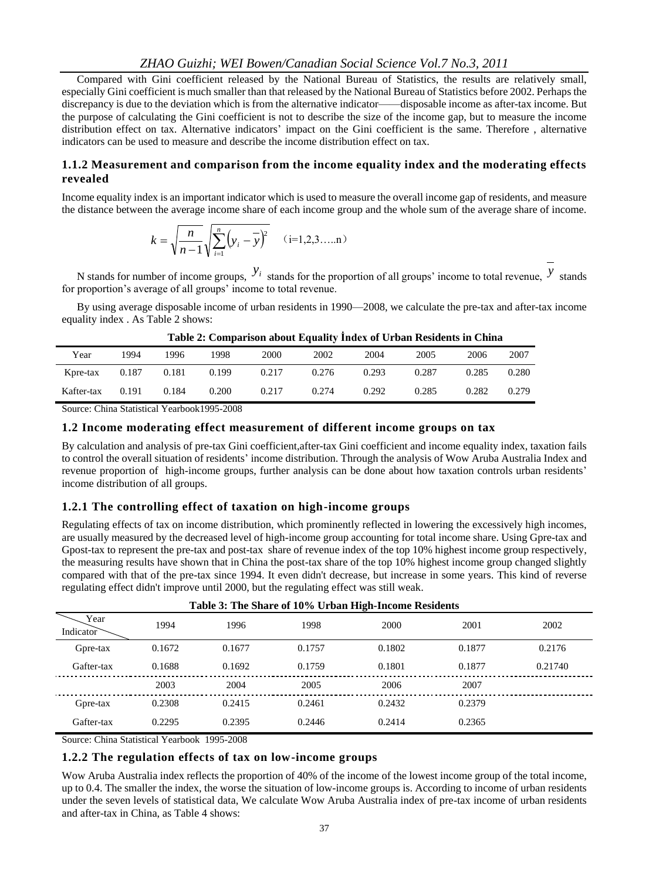#### *ZHAO Guizhi; WEI Bowen/Canadian Social Science Vol.7 No.3, 2011*

Compared with Gini coefficient released by the National Bureau of Statistics, the results are relatively small, especially Gini coefficient is much smaller than that released by the National Bureau of Statistics before 2002. Perhaps the discrepancy is due to the deviation which is from the alternative indicator——disposable income as after-tax income. But the purpose of calculating the Gini coefficient is not to describe the size of the income gap, but to measure the income distribution effect on tax. Alternative indicators' impact on the Gini coefficient is the same. Therefore , alternative indicators can be used to measure and describe the income distribution effect on tax.

#### **1.1.2 Measurement and comparison from the income equality index and the moderating effects revealed**

Income equality index is an important indicator which is used to measure the overall income gap of residents, and measure the distance between the average income share of each income group and the whole sum of the average share of income.

$$
k = \sqrt{\frac{n}{n-1}} \sqrt{\sum_{i=1}^{n} (y_i - y)^2} \quad (i=1,2,3,...,n)
$$

N stands for number of income groups,  $y_i$  stands for the proportion of all groups' income to total revenue,  $y$  stands for proportion's average of all groups' income to total revenue.

By using average disposable income of urban residents in 1990—2008, we calculate the pre-tax and after-tax income equality index . As Table 2 shows:

| Year       | 1994  | 1996  | 1998  | 2000  | 2002  | 2004  | 2005  | 2006  | 2007  |
|------------|-------|-------|-------|-------|-------|-------|-------|-------|-------|
| Kpre-tax   | 0.187 | 0.181 | 0.199 | 0.217 | 0.276 | 0.293 | 0.287 | 0.285 | 0.280 |
| Kafter-tax | 0.191 | 0.184 | 0.200 | 0.217 | 0.274 | 0.292 | 0.285 | 0.282 | 0.279 |

#### **Table 2: Comparison about Equality İndex of Urban Residents in China**

Source: China Statistical Yearbook1995-2008

#### **1.2 Income moderating effect measurement of different income groups on tax**

By calculation and analysis of pre-tax Gini coefficient,after-tax Gini coefficient and income equality index, taxation fails to control the overall situation of residents' income distribution. Through the analysis of Wow Aruba Australia Index and revenue proportion of high-income groups, further analysis can be done about how taxation controls urban residents' income distribution of all groups.

#### **1.2.1 The controlling effect of taxation on high-income groups**

Regulating effects of tax on income distribution, which prominently reflected in lowering the excessively high incomes, are usually measured by the decreased level of high-income group accounting for total income share. Using Gpre-tax and Gpost-tax to represent the pre-tax and post-tax share of revenue index of the top 10% highest income group respectively, the measuring results have shown that in China the post-tax share of the top 10% highest income group changed slightly compared with that of the pre-tax since 1994. It even didn't decrease, but increase in some years. This kind of reverse regulating effect didn't improve until 2000, but the regulating effect was still weak.

| Table 3. The Share of 10% Orban High-Hicome Residents |        |        |        |        |        |         |  |  |  |
|-------------------------------------------------------|--------|--------|--------|--------|--------|---------|--|--|--|
| Year<br>Indicator                                     | 1994   | 1996   | 1998   | 2000   | 2001   | 2002    |  |  |  |
| Gpre-tax                                              | 0.1672 | 0.1677 | 0.1757 | 0.1802 | 0.1877 | 0.2176  |  |  |  |
| Gafter-tax                                            | 0.1688 | 0.1692 | 0.1759 | 0.1801 | 0.1877 | 0.21740 |  |  |  |
|                                                       | 2003   | 2004   | 2005   | 2006   | 2007   |         |  |  |  |
| Gpre-tax                                              | 0.2308 | 0.2415 | 0.2461 | 0.2432 | 0.2379 |         |  |  |  |
| Gafter-tax                                            | 0.2295 | 0.2395 | 0.2446 | 0.2414 | 0.2365 |         |  |  |  |
|                                                       |        |        |        |        |        |         |  |  |  |

|  |  |  |  |  |  |  |  | Table 3: The Share of 10% Urban High-Income Residents |
|--|--|--|--|--|--|--|--|-------------------------------------------------------|
|--|--|--|--|--|--|--|--|-------------------------------------------------------|

Source: China Statistical Yearbook 1995-2008

#### **1.2.2 The regulation effects of tax on low-income groups**

Wow Aruba Australia index reflects the proportion of 40% of the income of the lowest income group of the total income, up to 0.4. The smaller the index, the worse the situation of low-income groups is. According to income of urban residents under the seven levels of statistical data, We calculate Wow Aruba Australia index of pre-tax income of urban residents and after-tax in China, as Table 4 shows: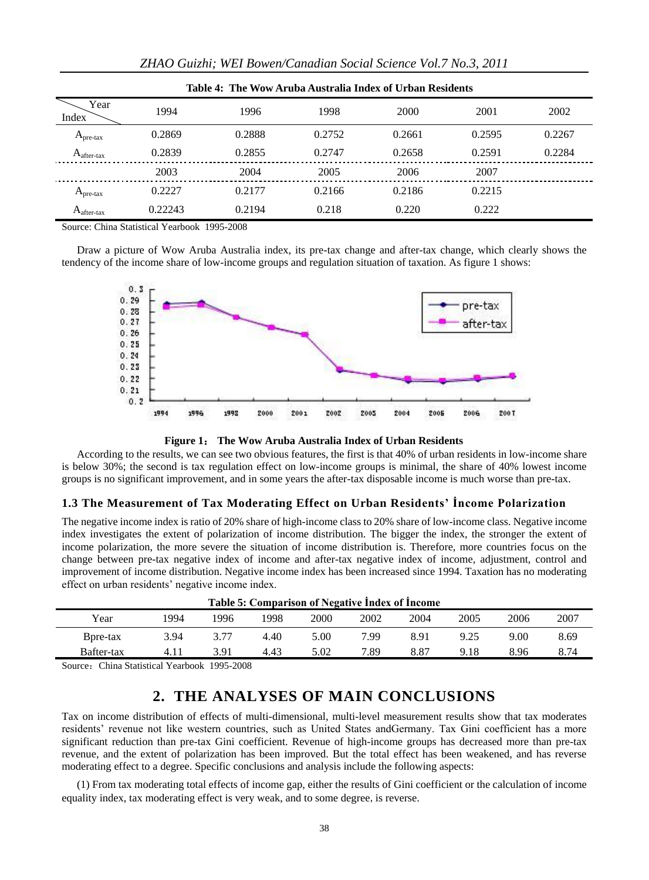| Table 4: The Wow Aruba Australia Index of Urban Residents |         |        |        |        |        |        |  |  |  |
|-----------------------------------------------------------|---------|--------|--------|--------|--------|--------|--|--|--|
| Year<br>Index                                             | 1994    | 1996   | 1998   | 2000   | 2001   | 2002   |  |  |  |
| $A_{pre-tax}$                                             | 0.2869  | 0.2888 | 0.2752 | 0.2661 | 0.2595 | 0.2267 |  |  |  |
| $A_{after\text{-}tax}$                                    | 0.2839  | 0.2855 | 0.2747 | 0.2658 | 0.2591 | 0.2284 |  |  |  |
|                                                           | 2003    | 2004   | 2005   | 2006   | 2007   |        |  |  |  |
| $A_{pre-tax}$                                             | 0.2227  | 0.2177 | 0.2166 | 0.2186 | 0.2215 |        |  |  |  |
| $A_{after\text{-}tax}$                                    | 0.22243 | 0.2194 | 0.218  | 0.220  | 0.222  |        |  |  |  |

Source: China Statistical Yearbook 1995-2008

Draw a picture of Wow Aruba Australia index, its pre-tax change and after-tax change, which clearly shows the tendency of the income share of low-income groups and regulation situation of taxation. As figure 1 shows:



**Figure 1**: **The Wow Aruba Australia Index of Urban Residents**

According to the results, we can see two obvious features, the first is that 40% of urban residents in low-income share is below 30%; the second is tax regulation effect on low-income groups is minimal, the share of 40% lowest income groups is no significant improvement, and in some years the after-tax disposable income is much worse than pre-tax.

#### **1.3 The Measurement of Tax Moderating Effect on Urban Residents' İncome Polarization**

The negative income index is ratio of 20% share of high-income class to 20% share of low-income class. Negative income index investigates the extent of polarization of income distribution. The bigger the index, the stronger the extent of income polarization, the more severe the situation of income distribution is. Therefore, more countries focus on the change between pre-tax negative index of income and after-tax negative index of income, adjustment, control and improvement of income distribution. Negative income index has been increased since 1994. Taxation has no moderating effect on urban residents' negative income index.

| Table 5: Comparison of Negative Index of Income |      |      |      |      |      |      |      |      |      |  |
|-------------------------------------------------|------|------|------|------|------|------|------|------|------|--|
| Year                                            | '994 | 1996 | 1998 | 2000 | 2002 | 2004 | 2005 | 2006 | 2007 |  |
| B <sub>pre-tax</sub>                            | 3.94 |      | 4.40 | 5.00 | 7.99 | 8.91 | 9.25 | 9.00 | 8.69 |  |
| Bafter-tax                                      | 4.11 | 3.91 | 4.43 | 5.02 | 7.89 | 8.87 | 9.18 | 8.96 | 8.74 |  |
|                                                 |      |      |      |      |      |      |      |      |      |  |

Source: China Statistical Yearbook 1995-2008

### **2. THE ANALYSES OF MAIN CONCLUSIONS**

Tax on income distribution of effects of multi-dimensional, multi-level measurement results show that tax moderates residents' revenue not like western countries, such as United States andGermany. Tax Gini coefficient has a more significant reduction than pre-tax Gini coefficient. Revenue of high-income groups has decreased more than pre-tax revenue, and the extent of polarization has been improved. But the total effect has been weakened, and has reverse moderating effect to a degree. Specific conclusions and analysis include the following aspects:

(1) From tax moderating total effects of income gap, either the results of Gini coefficient or the calculation of income equality index, tax moderating effect is very weak, and to some degree, is reverse.